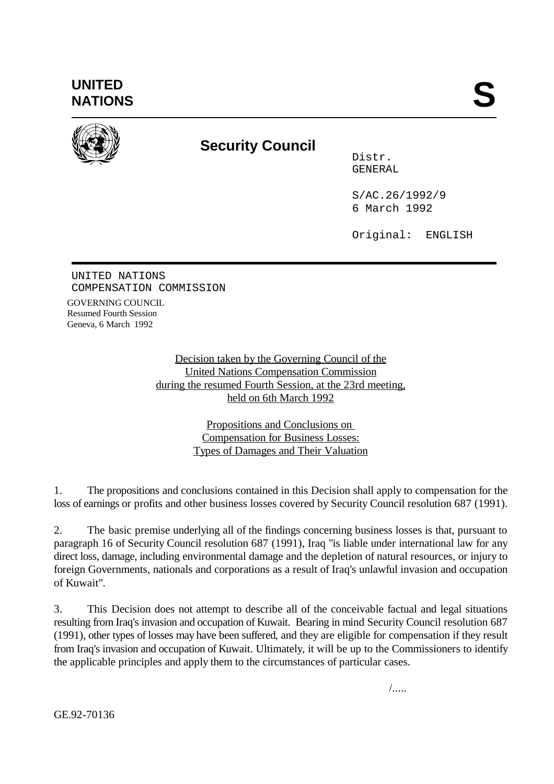

# **Security Council**

Distr. GENERAL

S/AC.26/1992/9 6 March 1992

Original: ENGLISH

#### UNITED NATIONS COMPENSATION COMMISSION

GOVERNING COUNCIL Resumed Fourth Session Geneva, 6 March 1992

> Decision taken by the Governing Council of the United Nations Compensation Commission during the resumed Fourth Session, at the 23rd meeting, held on 6th March 1992

> > Propositions and Conclusions on Compensation for Business Losses: Types of Damages and Their Valuation

1. The propositions and conclusions contained in this Decision shall apply to compensation for the loss of earnings or profits and other business losses covered by Security Council resolution 687 (1991).

2. The basic premise underlying all of the findings concerning business losses is that, pursuant to paragraph 16 of Security Council resolution 687 (1991), Iraq "is liable under international law for any direct loss, damage, including environmental damage and the depletion of natural resources, or injury to foreign Governments, nationals and corporations as a result of Iraq's unlawful invasion and occupation of Kuwait".

3. This Decision does not attempt to describe all of the conceivable factual and legal situations resulting from Iraq's invasion and occupation of Kuwait. Bearing in mind Security Council resolution 687 (1991), other types of losses may have been suffered, and they are eligible for compensation if they result from Iraq's invasion and occupation of Kuwait. Ultimately, it will be up to the Commissioners to identify the applicable principles and apply them to the circumstances of particular cases.

/.....

GE.92-70136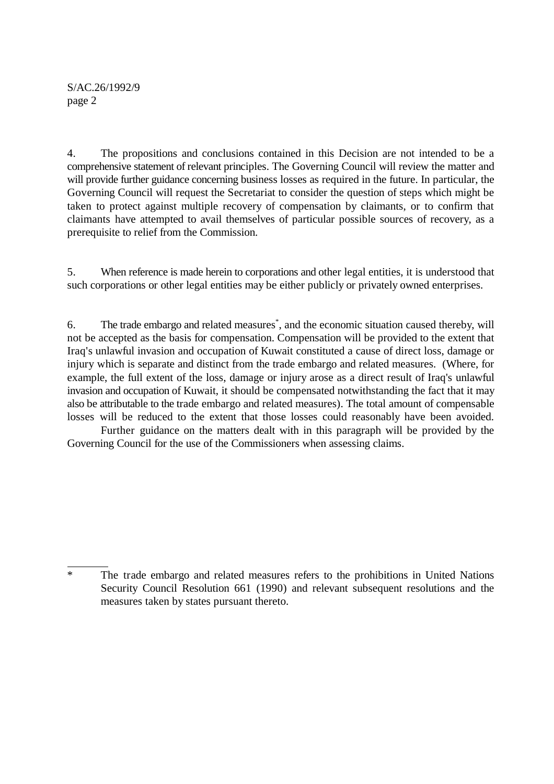S/AC.26/1992/9 page 2

4. The propositions and conclusions contained in this Decision are not intended to be a comprehensive statement of relevant principles. The Governing Council will review the matter and will provide further guidance concerning business losses as required in the future. In particular, the Governing Council will request the Secretariat to consider the question of steps which might be taken to protect against multiple recovery of compensation by claimants, or to confirm that claimants have attempted to avail themselves of particular possible sources of recovery, as a prerequisite to relief from the Commission.

5. When reference is made herein to corporations and other legal entities, it is understood that such corporations or other legal entities may be either publicly or privately owned enterprises.

6. The trade embargo and related measures<sup>\*</sup>, and the economic situation caused thereby, will not be accepted as the basis for compensation. Compensation will be provided to the extent that Iraq's unlawful invasion and occupation of Kuwait constituted a cause of direct loss, damage or injury which is separate and distinct from the trade embargo and related measures. (Where, for example, the full extent of the loss, damage or injury arose as a direct result of Iraq's unlawful invasion and occupation of Kuwait, it should be compensated notwithstanding the fact that it may also be attributable to the trade embargo and related measures). The total amount of compensable losses will be reduced to the extent that those losses could reasonably have been avoided.

Further guidance on the matters dealt with in this paragraph will be provided by the Governing Council for the use of the Commissioners when assessing claims.

 $\overline{a}$ \* The trade embargo and related measures refers to the prohibitions in United Nations Security Council Resolution 661 (1990) and relevant subsequent resolutions and the measures taken by states pursuant thereto.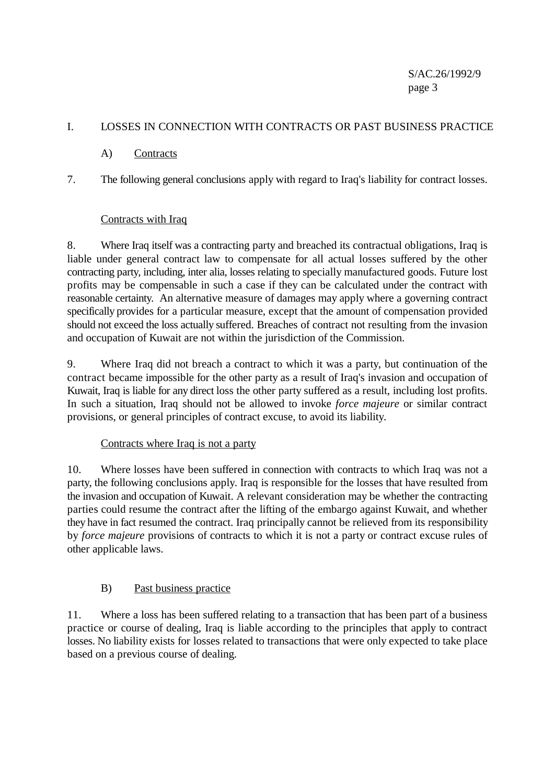# I. LOSSES IN CONNECTION WITH CONTRACTS OR PAST BUSINESS PRACTICE

## A) Contracts

7. The following general conclusions apply with regard to Iraq's liability for contract losses.

### Contracts with Iraq

8. Where Iraq itself was a contracting party and breached its contractual obligations, Iraq is liable under general contract law to compensate for all actual losses suffered by the other contracting party, including, inter alia, losses relating to specially manufactured goods. Future lost profits may be compensable in such a case if they can be calculated under the contract with reasonable certainty. An alternative measure of damages may apply where a governing contract specifically provides for a particular measure, except that the amount of compensation provided should not exceed the loss actually suffered. Breaches of contract not resulting from the invasion and occupation of Kuwait are not within the jurisdiction of the Commission.

9. Where Iraq did not breach a contract to which it was a party, but continuation of the contract became impossible for the other party as a result of Iraq's invasion and occupation of Kuwait, Iraq is liable for any direct loss the other party suffered as a result, including lost profits. In such a situation, Iraq should not be allowed to invoke *force majeure* or similar contract provisions, or general principles of contract excuse, to avoid its liability.

#### Contracts where Iraq is not a party

10. Where losses have been suffered in connection with contracts to which Iraq was not a party, the following conclusions apply. Iraq is responsible for the losses that have resulted from the invasion and occupation of Kuwait. A relevant consideration may be whether the contracting parties could resume the contract after the lifting of the embargo against Kuwait, and whether they have in fact resumed the contract. Iraq principally cannot be relieved from its responsibility by *force majeure* provisions of contracts to which it is not a party or contract excuse rules of other applicable laws.

#### B) Past business practice

11. Where a loss has been suffered relating to a transaction that has been part of a business practice or course of dealing, Iraq is liable according to the principles that apply to contract losses. No liability exists for losses related to transactions that were only expected to take place based on a previous course of dealing.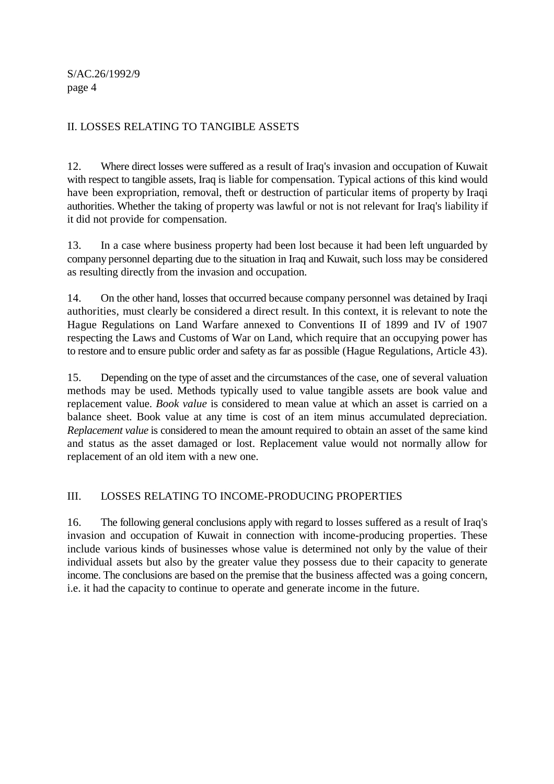S/AC.26/1992/9 page 4

### II. LOSSES RELATING TO TANGIBLE ASSETS

12. Where direct losses were suffered as a result of Iraq's invasion and occupation of Kuwait with respect to tangible assets, Iraq is liable for compensation. Typical actions of this kind would have been expropriation, removal, theft or destruction of particular items of property by Iraqi authorities. Whether the taking of property was lawful or not is not relevant for Iraq's liability if it did not provide for compensation.

13. In a case where business property had been lost because it had been left unguarded by company personnel departing due to the situation in Iraq and Kuwait, such loss may be considered as resulting directly from the invasion and occupation.

14. On the other hand, losses that occurred because company personnel was detained by Iraqi authorities, must clearly be considered a direct result. In this context, it is relevant to note the Hague Regulations on Land Warfare annexed to Conventions II of 1899 and IV of 1907 respecting the Laws and Customs of War on Land, which require that an occupying power has to restore and to ensure public order and safety as far as possible (Hague Regulations, Article 43).

15. Depending on the type of asset and the circumstances of the case, one of several valuation methods may be used. Methods typically used to value tangible assets are book value and replacement value. *Book value* is considered to mean value at which an asset is carried on a balance sheet. Book value at any time is cost of an item minus accumulated depreciation. *Replacement value* is considered to mean the amount required to obtain an asset of the same kind and status as the asset damaged or lost. Replacement value would not normally allow for replacement of an old item with a new one.

# III. LOSSES RELATING TO INCOME-PRODUCING PROPERTIES

16. The following general conclusions apply with regard to losses suffered as a result of Iraq's invasion and occupation of Kuwait in connection with income-producing properties. These include various kinds of businesses whose value is determined not only by the value of their individual assets but also by the greater value they possess due to their capacity to generate income. The conclusions are based on the premise that the business affected was a going concern, i.e. it had the capacity to continue to operate and generate income in the future.